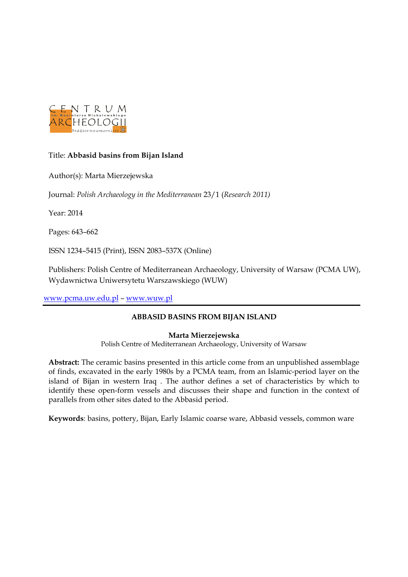

### Title: **Abbasid basins from Bijan Island**

Author(s): Marta Mierzejewska

Journal: *Polish Archaeology in the Mediterranean* 23/1 (*Research 2011)*

Year: 2014

Pages: 643–662

ISSN 1234–5415 (Print), ISSN 2083–537X (Online)

Publishers: Polish Centre of Mediterranean Archaeology, University of Warsaw (PCMA UW), Wydawnictwa Uniwersytetu Warszawskiego (WUW)

[www.pcma.uw.edu.pl](http://www.pcma.uw.edu.pl/) – [www.wuw.pl](http://www.wuw.pl/)

### **ABBASID BASINS FROM BIJAN ISLAND**

### **Marta Mierzejewska**

Polish Centre of Mediterranean Archaeology, University of Warsaw

**Abstract:** The ceramic basins presented in this article come from an unpublished assemblage of finds, excavated in the early 1980s by a PCMA team, from an Islamic-period layer on the island of Bijan in western Iraq . The author defines a set of characteristics by which to identify these open-form vessels and discusses their shape and function in the context of parallels from other sites dated to the Abbasid period.

**Keywords**: basins, pottery, Bijan, Early Islamic coarse ware, Abbasid vessels, common ware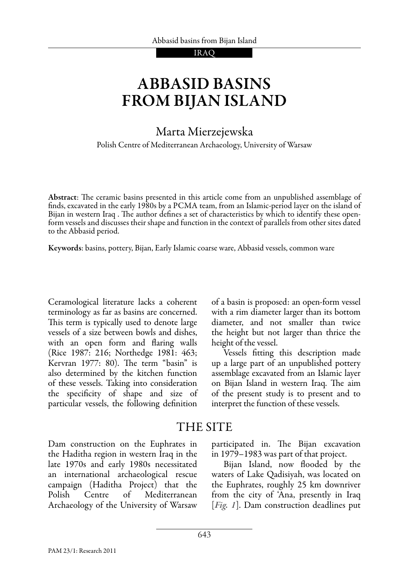# Abbasid basins from Bijan Island

### Marta Mierzejewska

Polish Centre of Mediterranean Archaeology, University of Warsaw

Abstract: The ceramic basins presented in this article come from an unpublished assemblage of finds, excavated in the early 1980s by a PCMA team, from an Islamic-period layer on the island of Bijan in western Iraq . The author defines a set of characteristics by which to identify these openform vessels and discusses their shape and function in the context of parallels from other sites dated to the Abbasid period.

Keywords: basins, pottery, Bijan, Early Islamic coarse ware, Abbasid vessels, common ware

Ceramological literature lacks a coherent terminology as far as basins are concerned. This term is typically used to denote large vessels of a size between bowls and dishes, with an open form and flaring walls (Rice 1987: 216; Northedge 1981: 463; Kervran 1977: 80). The term "basin" is also determined by the kitchen function of these vessels. Taking into consideration the specificity of shape and size of particular vessels, the following definition

of a basin is proposed: an open-form vessel with a rim diameter larger than its bottom diameter, and not smaller than twice the height but not larger than thrice the height of the vessel.

 Vessels fitting this description made up a large part of an unpublished pottery assemblage excavated from an Islamic layer on Bijan Island in western Iraq. The aim of the present study is to present and to interpret the function of these vessels.

## THE SITE

Dam construction on the Euphrates in the Haditha region in western Iraq in the late 1970s and early 1980s necessitated an international archaeological rescue campaign (Haditha Project) that the Polish Centre of Mediterranean Archaeology of the University of Warsaw

participated in. The Bijan excavation in 1979–1983 was part of that project.

Bijan Island, now flooded by the waters of Lake Qadisiyah, was located on the Euphrates, roughly 25 km downriver from the city of 'Ana, presently in Iraq [*Fig. 1*]. Dam construction deadlines put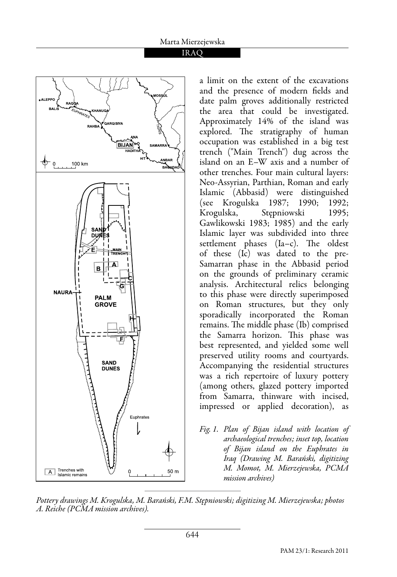

a limit on the extent of the excavations and the presence of modern fields and date palm groves additionally restricted the area that could be investigated. Approximately 14% of the island was explored. The stratigraphy of human occupation was established in a big test trench ("Main Trench") dug across the island on an E–W axis and a number of other trenches. Four main cultural layers: Neo-Assyrian, Parthian, Roman and early Islamic (Abbasid) were distinguished (see Krogulska 1987; 1990; 1992; Krogulska, Stępniowski 1995; Gawlikowski 1983; 1985) and the early Islamic layer was subdivided into three settlement phases (Ia–c). The oldest of these (Ic) was dated to the pre-Samarran phase in the Abbasid period on the grounds of preliminary ceramic analysis. Architectural relics belonging to this phase were directly superimposed on Roman structures, but they only sporadically incorporated the Roman remains. The middle phase (Ib) comprised the Samarra horizon. This phase was best represented, and yielded some well preserved utility rooms and courtyards. Accompanying the residential structures was a rich repertoire of luxury pottery (among others, glazed pottery imported from Samarra, thinware with incised, impressed or applied decoration), as

*Fig. 1. Plan of Bijan island with location of archaeological trenches; inset top, location of Bijan island on the Euphrates in Iraq (Drawing M. Barański, digitizing M. Momot, M. Mierzejewska, PCMA mission archives)*

*Pottery drawings M. Krogulska, M. Barański, F.M. Stępniowski; digitizing M. Mierzejewska; photos A. Reiche (PCMA mission archives).*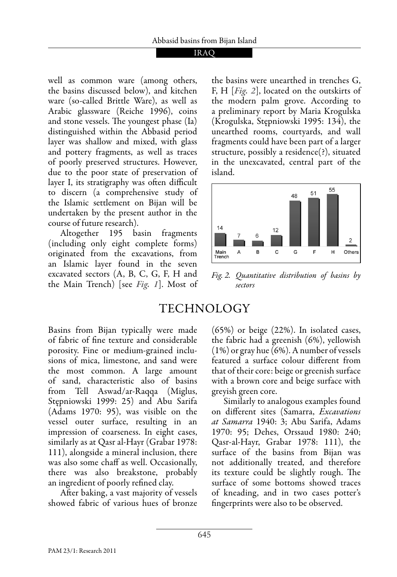well as common ware (among others, the basins discussed below), and kitchen ware (so-called Brittle Ware), as well as Arabic glassware (Reiche 1996), coins and stone vessels. The youngest phase (Ia) distinguished within the Abbasid period layer was shallow and mixed, with glass and pottery fragments, as well as traces of poorly preserved structures. However, due to the poor state of preservation of layer I, its stratigraphy was often difficult to discern (a comprehensive study of the Islamic settlement on Bijan will be undertaken by the present author in the course of future research).

 Altogether 195 basin fragments (including only eight complete forms) originated from the excavations, from an Islamic layer found in the seven excavated sectors (A, B, C, G, F, H and the Main Trench) [see *Fig. 1*]. Most of the basins were unearthed in trenches G, F, H [*Fig. 2*], located on the outskirts of the modern palm grove. According to a preliminary report by Maria Krogulska (Krogulska, Stępniowski 1995: 134), the unearthed rooms, courtyards, and wall fragments could have been part of a larger structure, possibly a residence(?), situated in the unexcavated, central part of the island.



*Fig. 2. Quantitative distribution of basins by sectors*

## Technology

Basins from Bijan typically were made of fabric of fine texture and considerable porosity. Fine or medium-grained inclusions of mica, limestone, and sand were the most common. A large amount of sand, characteristic also of basins from Tell Aswad/ar-Raqqa (Miglus, Stępniowski 1999: 25) and Abu Sarifa (Adams 1970: 95), was visible on the vessel outer surface, resulting in an impression of coarseness. In eight cases, similarly as at Qasr al-Hayr (Grabar 1978: 111), alongside a mineral inclusion, there was also some chaff as well. Occasionally, there was also breakstone, probably an ingredient of poorly refined clay.

 After baking, a vast majority of vessels showed fabric of various hues of bronze (65%) or beige (22%). In isolated cases, the fabric had a greenish (6%), yellowish (1%) or gray hue (6%). A number of vessels featured a surface colour different from that of their core: beige or greenish surface with a brown core and beige surface with greyish green core.

 Similarly to analogous examples found on different sites (Samarra, *Excavations at Samarra* 1940: 3; Abu Sarifa, Adams 1970: 95; Dehes, Orssaud 1980: 240; Qasr-al-Hayr, Grabar 1978: 111), the surface of the basins from Bijan was not additionally treated, and therefore its texture could be slightly rough. The surface of some bottoms showed traces of kneading, and in two cases potter's fingerprints were also to be observed.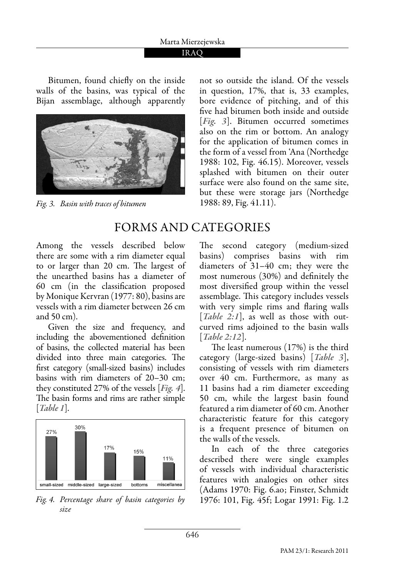### IRAQ

Bitumen, found chiefly on the inside walls of the basins, was typical of the Bijan assemblage, although apparently



*Fig. 3. Basin with traces of bitumen* 1988: 89, Fig. 41.11).

not so outside the island. Of the vessels in question, 17%, that is, 33 examples, bore evidence of pitching, and of this five had bitumen both inside and outside [*Fig. 3*]. Bitumen occurred sometimes also on the rim or bottom. An analogy for the application of bitumen comes in the form of a vessel from 'Ana (Northedge 1988: 102, Fig. 46.15). Moreover, vessels splashed with bitumen on their outer surface were also found on the same site, but these were storage jars (Northedge

## Forms and categories

Among the vessels described below there are some with a rim diameter equal to or larger than 20 cm. The largest of the unearthed basins has a diameter of 60 cm (in the classification proposed by Monique Kervran (1977: 80), basins are vessels with a rim diameter between 26 cm and 50 cm).

 Given the size and frequency, and including the abovementioned definition of basins, the collected material has been divided into three main categories. The first category (small-sized basins) includes basins with rim diameters of 20–30 cm; they constituted 27% of the vessels [*Fig. 4*]. The basin forms and rims are rather simple [*Table 1*].



*Fig. 4. Percentage share of basin categories by* 1976: 101, Fig. 45f; Logar 1991: Fig. 1.2 *size*

The second category (medium-sized basins) comprises basins with rim diameters of 31–40 cm; they were the most numerous (30%) and definitely the most diversified group within the vessel assemblage. This category includes vessels with very simple rims and flaring walls [*Table 2:1*], as well as those with outcurved rims adjoined to the basin walls [*Table 2:12*].

The least numerous (17%) is the third category (large-sized basins) [*Table 3*], consisting of vessels with rim diameters over 40 cm. Furthermore, as many as 11 basins had a rim diameter exceeding 50 cm, while the largest basin found featured a rim diameter of 60 cm. Another characteristic feature for this category is a frequent presence of bitumen on the walls of the vessels.

 In each of the three categories described there were single examples of vessels with individual characteristic features with analogies on other sites (Adams 1970: Fig. 6.ao; Finster, Schmidt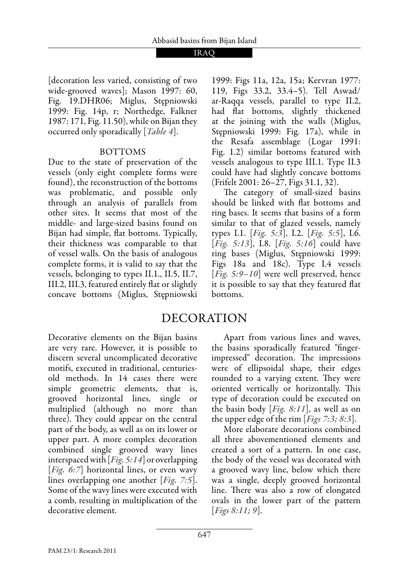[decoration less varied, consisting of two wide-grooved waves]; Mason 1997: 60, Fig. 19.DHR06; Miglus, Stępniowski 1999: Fig. 14p, r; Northedge, Falkner 1987: 171, Fig. 11.50), while on Bijan they occurred only sporadically [*Table 4*].

### **BOTTOMS**

Due to the state of preservation of the vessels (only eight complete forms were found), the reconstruction of the bottoms was problematic, and possible only through an analysis of parallels from other sites. It seems that most of the middle- and large-sized basins found on Bijan had simple, flat bottoms. Typically, their thickness was comparable to that of vessel walls. On the basis of analogous complete forms, it is valid to say that the vessels, belonging to types II.1., II.5, II.7, III.2, III.3, featured entirely flat or slightly concave bottoms (Miglus, Stępniowski

Decorative elements on the Bijan basins are very rare. However, it is possible to discern several uncomplicated decorative motifs, executed in traditional, centuriesold methods. In 14 cases there were simple geometric elements, that is, grooved horizontal lines, single or multiplied (although no more than three). They could appear on the central part of the body, as well as on its lower or upper part. A more complex decoration combined single grooved wavy lines interspaced with [*Fig. 5:14*] or overlapping [*Fig. 6:7*] horizontal lines, or even wavy lines overlapping one another [*Fig. 7:5*]. Some of the wavy lines were executed with a comb, resulting in multiplication of the decorative element.

1999: Figs 11a, 12a, 15a; Kervran 1977: 119, Figs 33.2, 33.4–5). Tell Aswad/ ar-Raqqa vessels, parallel to type II.2, had flat bottoms, slightly thickened at the joining with the walls (Miglus, Stępniowski 1999: Fig. 17a), while in the Resafa assemblage (Logar 1991: Fig. 1.2) similar bottoms featured with vessels analogous to type III.1. Type II.3 could have had slightly concave bottoms (Frifelt 2001: 26–27, Figs 31.1, 32).

The category of small-sized basins should be linked with flat bottoms and ring bases. It seems that basins of a form similar to that of glazed vessels, namely types I.1. [*Fig. 5:3*], I.2. [*Fig. 5:5*], I.6. [*Fig. 5:13*], I.8. [*Fig. 5:16*] could have ring bases (Miglus, Stępniowski 1999: Figs 18a and 18c). Type I.4 vessels [*Fig. 5:9–10*] were well preserved, hence it is possible to say that they featured flat bottoms.

## Decoration

 Apart from various lines and waves, the basins sporadically featured "fingerimpressed" decoration. The impressions were of ellipsoidal shape, their edges rounded to a varying extent. They were oriented vertically or horizontally. This type of decoration could be executed on the basin body [*Fig. 8:11*], as well as on the upper edge of the rim [*Figs 7:3; 8:3*].

 More elaborate decorations combined all three abovementioned elements and created a sort of a pattern. In one case, the body of the vessel was decorated with a grooved wavy line, below which there was a single, deeply grooved horizontal line. There was also a row of elongated ovals in the lower part of the pattern [*Figs 8:11; 9*].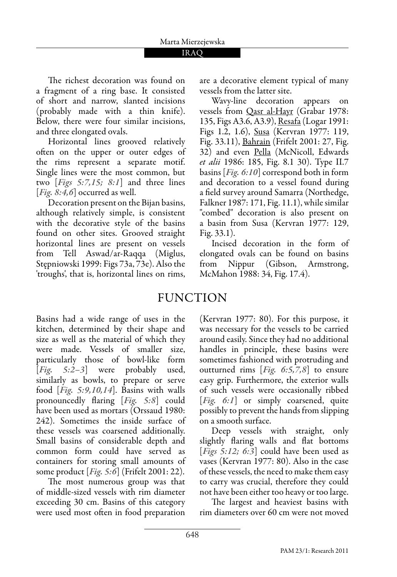The richest decoration was found on a fragment of a ring base. It consisted of short and narrow, slanted incisions (probably made with a thin knife). Below, there were four similar incisions, and three elongated ovals.

 Horizontal lines grooved relatively often on the upper or outer edges of the rims represent a separate motif. Single lines were the most common, but two [*Figs 5:7,15; 8:1*] and three lines [*Fig. 8:4,6*] occurred as well.

 Decoration present on the Bijan basins, although relatively simple, is consistent with the decorative style of the basins found on other sites. Grooved straight horizontal lines are present on vessels from Tell Aswad/ar-Raqqa (Miglus, Stępniowski 1999: Figs 73a, 73e). Also the 'troughs', that is, horizontal lines on rims, are a decorative element typical of many vessels from the latter site.

 Wavy-line decoration appears on vessels from Qasr al-Hayr (Grabar 1978: 135, Figs A3.6, A3.9), Resafa (Logar 1991: Figs 1.2, 1.6), Susa (Kervran 1977: 119, Fig. 33.11), Bahrain (Frifelt 2001: 27, Fig. 32) and even Pella (McNicoll, Edwards *et alii* 1986: 185, Fig. 8.1 30). Type II.7 basins [*Fig. 6:10*] correspond both in form and decoration to a vessel found during a field survey around Samarra (Northedge, Falkner 1987: 171, Fig. 11.1), while similar "combed" decoration is also present on a basin from Susa (Kervran 1977: 129, Fig. 33.1).

 Incised decoration in the form of elongated ovals can be found on basins from Nippur (Gibson, Armstrong, McMahon 1988: 34, Fig. 17.4).

## **FUNCTION**

Basins had a wide range of uses in the kitchen, determined by their shape and size as well as the material of which they were made. Vessels of smaller size, particularly those of bowl-like form [*Fig. 5:2–3*] were probably used, similarly as bowls, to prepare or serve food [*Fig. 5:9,10,14*]. Basins with walls pronouncedly flaring [*Fig. 5:8*] could have been used as mortars (Orssaud 1980: 242). Sometimes the inside surface of these vessels was coarsened additionally. Small basins of considerable depth and common form could have served as containers for storing small amounts of some product [*Fig. 5:6*] (Frifelt 2001: 22).

The most numerous group was that of middle-sized vessels with rim diameter exceeding 30 cm. Basins of this category were used most often in food preparation (Kervran 1977: 80). For this purpose, it was necessary for the vessels to be carried around easily. Since they had no additional handles in principle, these basins were sometimes fashioned with protruding and outturned rims [*Fig. 6:5,7,8*] to ensure easy grip. Furthermore, the exterior walls of such vessels were occasionally ribbed [*Fig. 6:1*] or simply coarsened, quite possibly to prevent the hands from slipping on a smooth surface.

 Deep vessels with straight, only slightly flaring walls and flat bottoms [*Figs 5:12; 6:3*] could have been used as vases (Kervran 1977: 80). Also in the case of these vessels, the need to make them easy to carry was crucial, therefore they could not have been either too heavy or too large.

The largest and heaviest basins with rim diameters over 60 cm were not moved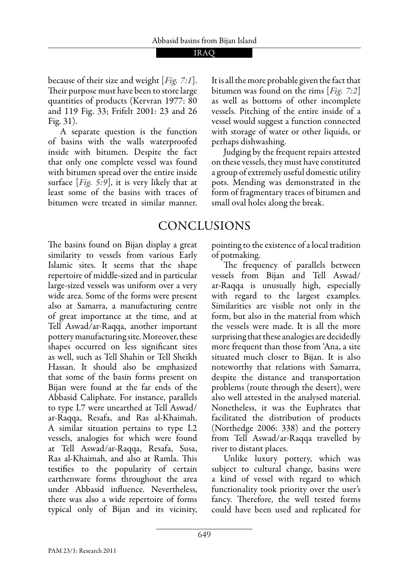because of their size and weight [*Fig. 7:1*]. Their purpose must have been to store large quantities of products (Kervran 1977: 80 and 119 Fig. 33; Frifelt 2001: 23 and 26 Fig. 31).

 A separate question is the function of basins with the walls waterproofed inside with bitumen. Despite the fact that only one complete vessel was found with bitumen spread over the entire inside surface [*Fig. 5:9*], it is very likely that at least some of the basins with traces of bitumen were treated in similar manner.

vessel would suggest a function connected with storage of water or other liquids, or perhaps dishwashing. Judging by the frequent repairs attested

on these vessels, they must have constituted a group of extremely useful domestic utility pots. Mending was demonstrated in the form of fragmentary traces of bitumen and small oval holes along the break.

It is all the more probable given the fact that bitumen was found on the rims [*Fig. 7:2*] as well as bottoms of other incomplete vessels. Pitching of the entire inside of a

## Conclusions

The basins found on Bijan display a great similarity to vessels from various Early Islamic sites. It seems that the shape repertoire of middle-sized and in particular large-sized vessels was uniform over a very wide area. Some of the forms were present also at Samarra, a manufacturing centre of great importance at the time, and at Tell Aswad/ar-Raqqa, another important pottery manufacturing site. Moreover, these shapes occurred on less significant sites as well, such as Tell Shahin or Tell Sheikh Hassan. It should also be emphasized that some of the basin forms present on Bijan were found at the far ends of the Abbasid Caliphate. For instance, parallels to type I.7 were unearthed at Tell Aswad/ ar-Raqqa, Resafa, and Ras al-Khaimah. A similar situation pertains to type I.2 vessels, analogies for which were found at Tell Aswad/ar-Raqqa, Resafa, Susa, Ras al-Khaimah, and also at Ramla. This testifies to the popularity of certain earthenware forms throughout the area under Abbasid influence. Nevertheless, there was also a wide repertoire of forms typical only of Bijan and its vicinity, pointing to the existence of a local tradition of potmaking.

The frequency of parallels between vessels from Bijan and Tell Aswad/ ar-Raqqa is unusually high, especially with regard to the largest examples. Similarities are visible not only in the form, but also in the material from which the vessels were made. It is all the more surprising that these analogies are decidedly more frequent than those from 'Ana, a site situated much closer to Bijan. It is also noteworthy that relations with Samarra, despite the distance and transportation problems (route through the desert), were also well attested in the analysed material. Nonetheless, it was the Euphrates that facilitated the distribution of products (Northedge 2006: 338) and the pottery from Tell Aswad/ar-Raqqa travelled by river to distant places.

Unlike luxury pottery, which was subject to cultural change, basins were a kind of vessel with regard to which functionality took priority over the user's fancy. Therefore, the well tested forms could have been used and replicated for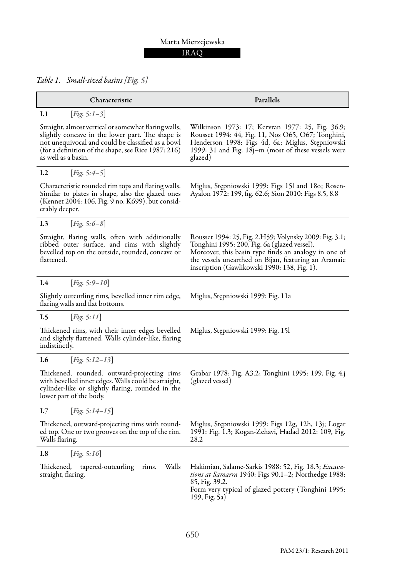### IRAQ

*Table 1. Small-sized basins [Fig. 5]*

| Characteristic                                                                                                                                                                                                                              | Parallels                                                                                                                                                                                                                                                              |  |
|---------------------------------------------------------------------------------------------------------------------------------------------------------------------------------------------------------------------------------------------|------------------------------------------------------------------------------------------------------------------------------------------------------------------------------------------------------------------------------------------------------------------------|--|
| I.1<br><i>Fig.</i> 5:1-3                                                                                                                                                                                                                    |                                                                                                                                                                                                                                                                        |  |
| Straight, almost vertical or somewhat flaring walls,<br>slightly concave in the lower part. The shape is<br>not unequivocal and could be classified as a bowl<br>(for a definition of the shape, see Rice 1987: 216)<br>as well as a basin. | Wilkinson 1973: 17; Kervran 1977: 25, Fig. 36.9;<br>Rousset 1994: 44, Fig. 11, Nos O65, O67; Tonghini,<br>Henderson 1998: Figs 4d, 6a; Miglus, Stepniowski<br>1999: 31 and Fig. 18j-m (most of these vessels were<br>glazed)                                           |  |
| [ $Fig. 5:4-5$ ]<br>I.2                                                                                                                                                                                                                     |                                                                                                                                                                                                                                                                        |  |
| Characteristic rounded rim tops and flaring walls.<br>Similar to plates in shape, also the glazed ones<br>(Kennet 2004: 106, Fig. 9 no. K699), but consid-<br>erably deeper.                                                                | Miglus, Stępniowski 1999: Figs 15l and 180; Rosen-<br>Ayalon 1972: 199, fig. 62.6; Sion 2010: Figs 8.5, 8.8                                                                                                                                                            |  |
| [ <i>Fig.</i> 5:6-8]<br>I.3                                                                                                                                                                                                                 |                                                                                                                                                                                                                                                                        |  |
| Straight, flaring walls, often with additionally<br>ribbed outer surface, and rims with slightly<br>bevelled top on the outside, rounded, concave or<br>flattened.                                                                          | Rousset 1994: 25, Fig. 2.H59; Volynsky 2009: Fig. 3.1;<br>Tonghini 1995: 200, Fig. 6a (glazed vessel).<br>Moreover, this basin type finds an analogy in one of<br>the vessels unearthed on Bijan, featuring an Aramaic<br>inscription (Gawlikowski 1990: 138, Fig. 1). |  |
| [ $Fig. 5:9-10$ ]<br>I.4                                                                                                                                                                                                                    |                                                                                                                                                                                                                                                                        |  |
| Slightly outcurling rims, bevelled inner rim edge,<br>flaring walls and flat bottoms.                                                                                                                                                       | Miglus, Stępniowski 1999: Fig. 11a                                                                                                                                                                                                                                     |  |
| I.5<br>Fig. 5:11                                                                                                                                                                                                                            |                                                                                                                                                                                                                                                                        |  |
| Thickened rims, with their inner edges bevelled<br>and slightly flattened. Walls cylinder-like, flaring<br>indistinctly.                                                                                                                    | Miglus, Stępniowski 1999: Fig. 15l                                                                                                                                                                                                                                     |  |
| I.6<br>[ $Fig. 5:12-13$ ]                                                                                                                                                                                                                   |                                                                                                                                                                                                                                                                        |  |
| Thickened, rounded, outward-projecting rims<br>with bevelled inner edges. Walls could be straight,<br>cylinder-like or slightly flaring, rounded in the<br>lower part of the body.                                                          | Grabar 1978: Fig. A3.2; Tonghini 1995: 199, Fig. 4.j<br>(glazed vessel)                                                                                                                                                                                                |  |
| I.7<br><i>Fig.</i> 5:14–15                                                                                                                                                                                                                  |                                                                                                                                                                                                                                                                        |  |
| Thickened, outward-projecting rims with round-<br>ed top. One or two grooves on the top of the rim.<br>Walls flaring.                                                                                                                       | Miglus, Stępniowski 1999: Figs 12g, 12h, 13j; Logar<br>1991: Fig. 1.3; Kogan-Zehavi, Hadad 2012: 109, Fig.<br>28.2                                                                                                                                                     |  |
| I.8<br>[ $Fig. 5:16$ ]                                                                                                                                                                                                                      |                                                                                                                                                                                                                                                                        |  |
| Walls<br>tapered-outcurling<br>Thickened,<br>rims.<br>straight, flaring.                                                                                                                                                                    | Hakimian, Salame-Sarkis 1988: 52, Fig. 18.3; Excava-<br>tions at Samarra 1940: Figs 90.1-2; Northedge 1988:<br>85, Fig. 39.2.<br>Form very typical of glazed pottery (Tonghini 1995:<br>199, Fig. 5a)                                                                  |  |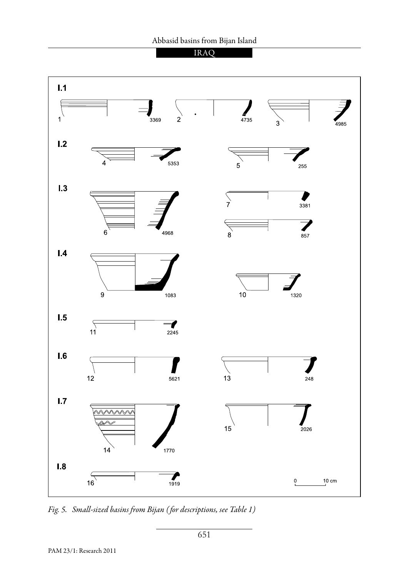



*Fig. 5. Small-sized basins from Bijan ( for descriptions, see Table 1)*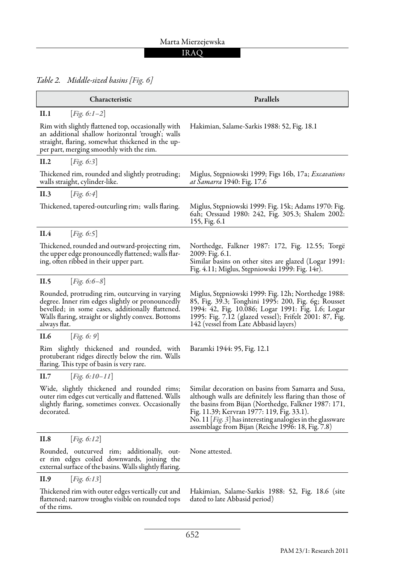### IRAQ

*Table 2. Middle-sized basins [Fig. 6]*

| Characteristic                                                                                                                                                                                                                | Parallels                                                                                                                                                                                                                                                                                                                                        |  |
|-------------------------------------------------------------------------------------------------------------------------------------------------------------------------------------------------------------------------------|--------------------------------------------------------------------------------------------------------------------------------------------------------------------------------------------------------------------------------------------------------------------------------------------------------------------------------------------------|--|
| II.1<br>[ <i>Fig.</i> 6:1-2]                                                                                                                                                                                                  |                                                                                                                                                                                                                                                                                                                                                  |  |
| Rim with slightly flattened top, occasionally with<br>an additional shallow horizontal 'trough'; walls<br>straight, flaring, somewhat thickened in the up-<br>per part, merging smoothly with the rim.                        | Hakimian, Salame-Sarkis 1988: 52, Fig. 18.1                                                                                                                                                                                                                                                                                                      |  |
| II.2<br>[ $Fig. 6:3$ ]                                                                                                                                                                                                        |                                                                                                                                                                                                                                                                                                                                                  |  |
| Thickened rim, rounded and slightly protruding;<br>walls straight, cylinder-like.                                                                                                                                             | Miglus, Stępniowski 1999; Figs 16b, 17a; Excavations<br><i>at Samarra</i> 1940: Fig. 17.6                                                                                                                                                                                                                                                        |  |
| II.3<br>Fig. 6:4                                                                                                                                                                                                              |                                                                                                                                                                                                                                                                                                                                                  |  |
| Thickened, tapered-outcurling rim; walls flaring.                                                                                                                                                                             | Miglus, Stępniowski 1999: Fig. 15k; Adams 1970: Fig.<br>6ah; Orssaud 1980: 242, Fig. 305.3; Shalem 2002:<br>155, Fig. 6.1                                                                                                                                                                                                                        |  |
| II.4<br>Fig. 6.5                                                                                                                                                                                                              |                                                                                                                                                                                                                                                                                                                                                  |  |
| Thickened, rounded and outward-projecting rim,<br>the upper edge pronouncedly flattened; walls flar-<br>ing, often ribbed in their upper part.                                                                                | Northedge, Falkner 1987: 172, Fig. 12.55; Torgë<br>2009: Fig. 6.1.<br>Similar basins on other sites are glazed (Logar 1991:<br>Fig. 4.11; Miglus, Stępniowski 1999: Fig. 14r).                                                                                                                                                                   |  |
| [ <i>Fig.</i> 6:6-8]<br>II.5                                                                                                                                                                                                  |                                                                                                                                                                                                                                                                                                                                                  |  |
| Rounded, protruding rim, outcurving in varying<br>degree. Inner rim edges slightly or pronouncedly<br>bevelled; in some cases, additionally flattened.<br>Walls flaring, straight or slightly convex. Bottoms<br>always flat. | Miglus, Stępniowski 1999: Fig. 12h; Northedge 1988:<br>85, Fig. 39.3; Tonghini 1995: 200, Fig. 6g; Rousset<br>1994: 42, Fig. 10.086; Logar 1991: Fig. 1.6; Logar<br>1995: Fig. 7.12 (glazed vessel); Frifelt 2001: 87, Fig.<br>142 (vessel from Late Abbasid layers)                                                                             |  |
| II.6<br>Fig. 6: 9                                                                                                                                                                                                             |                                                                                                                                                                                                                                                                                                                                                  |  |
| Rim slightly thickened and rounded, with<br>protuberant ridges directly below the rim. Walls<br>flaring. This type of basin is very rare.                                                                                     | Baramki 1944: 95, Fig. 12.1                                                                                                                                                                                                                                                                                                                      |  |
| II.7<br>[ <i>Fig.</i> 6:10–11]                                                                                                                                                                                                |                                                                                                                                                                                                                                                                                                                                                  |  |
| Wide, slightly thickened and rounded rims;<br>outer rim edges cut vertically and flattened. Walls<br>slightly flaring, sometimes convex. Occasionally<br>decorated.                                                           | Similar decoration on basins from Samarra and Susa,<br>although walls are definitely less flaring than those of<br>the basins from Bijan (Northedge, Falkner 1987: 171,<br>Fig. 11.39; Kervran 1977: 119, Fig. 33.1).<br>No. 11 [ <i>Fig.</i> 3] has interesting analogies in the glassware<br>assemblage from Bijan (Reiche 1996: 18, Fig. 7.8) |  |
| II.8<br>Fig. 6:12                                                                                                                                                                                                             |                                                                                                                                                                                                                                                                                                                                                  |  |
| Rounded, outcurved rim; additionally, out-<br>er rim edges coiled downwards, joining the<br>external surface of the basins. Walls slightly flaring.                                                                           | None attested.                                                                                                                                                                                                                                                                                                                                   |  |
| II.9<br>Fig. 6:13                                                                                                                                                                                                             |                                                                                                                                                                                                                                                                                                                                                  |  |
| Thickened rim with outer edges vertically cut and<br>flattened; narrow troughs visible on rounded tops<br>of the rims.                                                                                                        | Hakimian, Salame-Sarkis 1988: 52, Fig. 18.6 (site<br>dated to late Abbasid period)                                                                                                                                                                                                                                                               |  |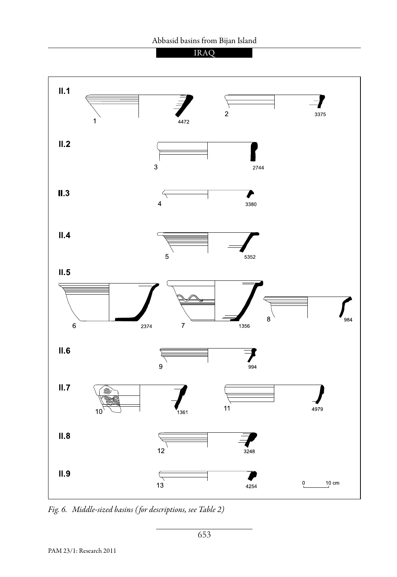



*Fig. 6. Middle-sized basins ( for descriptions, see Table 2)*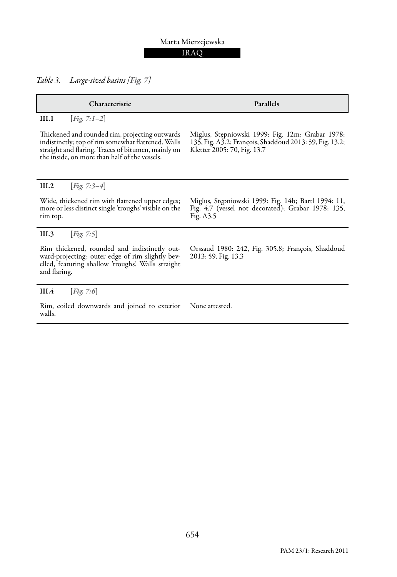### IRAQ

*Table 3. Large-sized basins [Fig. 7]*

| Characteristic                                                                                                                                                                                              | Parallels                                                                                                                                  |  |
|-------------------------------------------------------------------------------------------------------------------------------------------------------------------------------------------------------------|--------------------------------------------------------------------------------------------------------------------------------------------|--|
| [ <i>Fig.</i> 7:1-2]<br>III.1                                                                                                                                                                               |                                                                                                                                            |  |
| Thickened and rounded rim, projecting outwards<br>indistinctly; top of rim somewhat flattened. Walls<br>straight and flaring. Traces of bitumen, mainly on<br>the inside, on more than half of the vessels. | Miglus, Stepniowski 1999: Fig. 12m; Grabar 1978:<br>135, Fig. A3.2; François, Shaddoud 2013: 59, Fig. 13.2;<br>Kletter 2005: 70, Fig. 13.7 |  |
| [ <i>Fig.</i> 7:3-4]<br>III.2                                                                                                                                                                               |                                                                                                                                            |  |
| Wide, thickened rim with flattened upper edges;<br>more or less distinct single 'troughs' visible on the<br>rim top.                                                                                        | Miglus, Stepniowski 1999: Fig. 14b; Bartl 1994: 11,<br>Fig. 4.7 (vessel not decorated); Grabar 1978: 135,<br>Fig. A3.5                     |  |
| Fig. 7.5<br>III.3                                                                                                                                                                                           |                                                                                                                                            |  |
| Rim thickened, rounded and indistinctly out-<br>ward-projecting; outer edge of rim slightly bev-<br>elled, featuring shallow 'troughs'. Walls straight<br>and flaring.                                      | Orssaud 1980: 242, Fig. 305.8; François, Shaddoud<br>2013: 59, Fig. 13.3                                                                   |  |
| [ $Fig. 7:6$ ]<br>III.4                                                                                                                                                                                     |                                                                                                                                            |  |
| Rim, coiled downwards and joined to exterior<br>walls.                                                                                                                                                      | None attested.                                                                                                                             |  |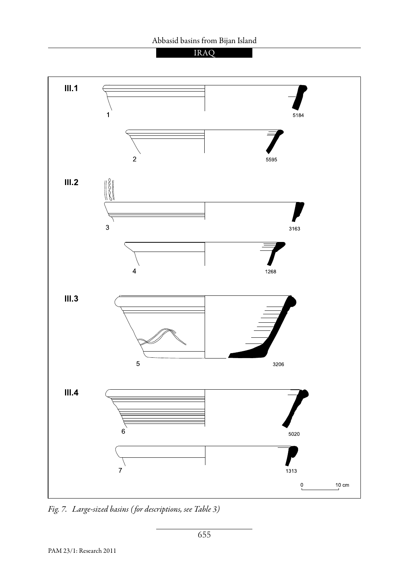



*Fig. 7. Large-sized basins ( for descriptions, see Table 3)*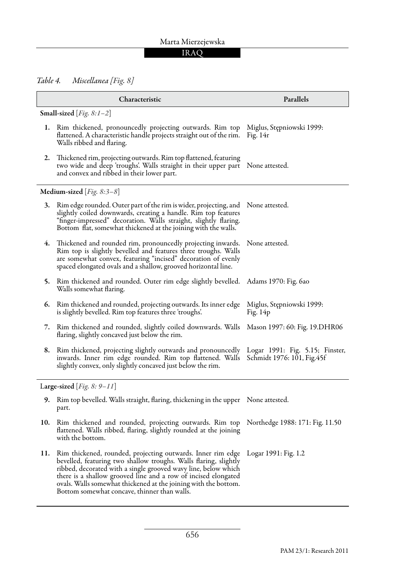### IRAQ

*Table 4. Miscellanea [Fig. 8]*

|                               | Characteristic                                                                                                                                                                                                                                                                                                                                                                         | Parallels                                                     |  |  |
|-------------------------------|----------------------------------------------------------------------------------------------------------------------------------------------------------------------------------------------------------------------------------------------------------------------------------------------------------------------------------------------------------------------------------------|---------------------------------------------------------------|--|--|
|                               | Small-sized [ $Fig. 8:1-2$ ]                                                                                                                                                                                                                                                                                                                                                           |                                                               |  |  |
| 1.                            | Rim thickened, pronouncedly projecting outwards. Rim top<br>flattened. A characteristic handle projects straight out of the rim.<br>Walls ribbed and flaring.                                                                                                                                                                                                                          | Miglus, Stępniowski 1999:<br>Fig. $14r$                       |  |  |
| 2.                            | Thickened rim, projecting outwards. Rim top flattened, featuring<br>two wide and deep 'troughs'. Walls straight in their upper part<br>and convex and ribbed in their lower part.                                                                                                                                                                                                      | None attested.                                                |  |  |
| Medium-sized [ $Fig. 8:3-8$ ] |                                                                                                                                                                                                                                                                                                                                                                                        |                                                               |  |  |
| 3.                            | Rim edge rounded. Outer part of the rim is wider, projecting, and<br>slightly coiled downwards, creating a handle. Rim top features<br>"finger-impressed" decoration. Walls straight, slightly flaring.<br>Bottom flat, somewhat thickened at the joining with the walls.                                                                                                              | None attested.                                                |  |  |
| 4.                            | Thickened and rounded rim, pronouncedly projecting inwards.<br>Rim top is slightly bevelled and features three troughs. Walls<br>are somewhat convex, featuring "incised" decoration of evenly<br>spaced elongated ovals and a shallow, grooved horizontal line.                                                                                                                       | None attested.                                                |  |  |
|                               | 5. Rim thickened and rounded. Outer rim edge slightly bevelled.<br>Walls somewhat flaring.                                                                                                                                                                                                                                                                                             | Adams 1970: Fig. 6ao                                          |  |  |
| 6.                            | Rim thickened and rounded, projecting outwards. Its inner edge<br>is slightly bevelled. Rim top features three 'troughs'.                                                                                                                                                                                                                                                              | Miglus, Stępniowski 1999:<br>Fig. 14p                         |  |  |
| 7.                            | Rim thickened and rounded, slightly coiled downwards. Walls Mason 1997: 60: Fig. 19.DHR06<br>flaring, slightly concaved just below the rim.                                                                                                                                                                                                                                            |                                                               |  |  |
| 8.                            | Rim thickened, projecting slightly outwards and pronouncedly<br>inwards. Inner rim edge rounded. Rim top flattened. Walls<br>slightly convex, only slightly concaved just below the rim.                                                                                                                                                                                               | Logar 1991: Fig. 5.15; Finster,<br>Schmidt 1976: 101, Fig.45f |  |  |
| Large-sized   Fig. 8: 9–11    |                                                                                                                                                                                                                                                                                                                                                                                        |                                                               |  |  |
| 9.                            | Rim top bevelled. Walls straight, flaring, thickening in the upper None attested.<br>part.                                                                                                                                                                                                                                                                                             |                                                               |  |  |
| 10.                           | Rim thickened and rounded, projecting outwards. Rim top<br>flattened. Walls ribbed, flaring, slightly rounded at the joining<br>with the bottom.                                                                                                                                                                                                                                       | Northedge 1988: 171: Fig. 11.50                               |  |  |
| 11.                           | Rim thickened, rounded, projecting outwards. Inner rim edge<br>bevelled, featuring two shallow troughs. Walls flaring, slightly<br>ribbed, decorated with a single grooved wavy line, below which<br>there is a shallow grooved line and a row of incised elongated<br>ovals. Walls somewhat thickened at the joining with the bottom.<br>Bottom somewhat concave, thinner than walls. | Logar 1991: Fig. 1.2                                          |  |  |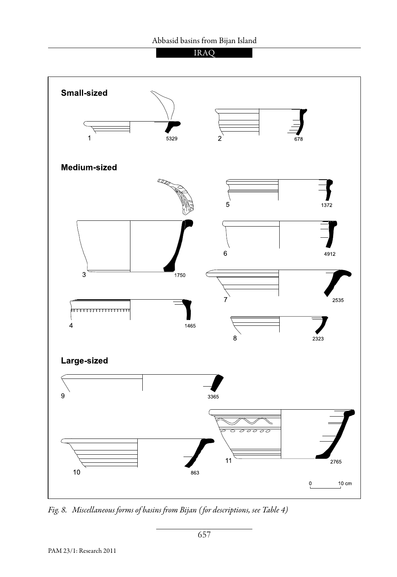### Abbasid basins from Bijan Island





*Fig. 8. Miscellaneous forms of basins from Bijan ( for descriptions, see Table 4)*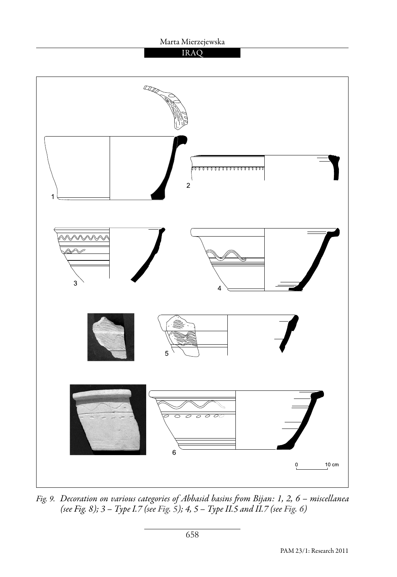



*Fig. 9. Decoration on various categories of Abbasid basins from Bijan: 1, 2, 6 – miscellanea (see Fig. 8); 3 – Type I.7 (see Fig. 5); 4, 5 – Type II.5 and II.7 (see Fig. 6)*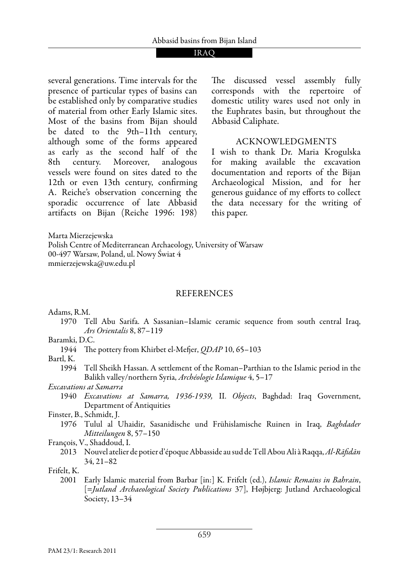several generations. Time intervals for the presence of particular types of basins can be established only by comparative studies of material from other Early Islamic sites. Most of the basins from Bijan should be dated to the 9th–11th century, although some of the forms appeared as early as the second half of the 8th century. Moreover, analogous vessels were found on sites dated to the 12th or even 13th century, confirming A. Reiche's observation concerning the sporadic occurrence of late Abbasid artifacts on Bijan (Reiche 1996: 198) The discussed vessel assembly fully corresponds with the repertoire of domestic utility wares used not only in the Euphrates basin, but throughout the Abbasid Caliphate.

### Acknowledgments

I wish to thank Dr. Maria Krogulska for making available the excavation documentation and reports of the Bijan Archaeological Mission, and for her generous guidance of my efforts to collect the data necessary for the writing of this paper.

Marta Mierzejewska Polish Centre of Mediterranean Archaeology, University of Warsaw 00-497 Warsaw, Poland, ul. Nowy Świat 4 mmierzejewska@uw.edu.pl

### REFERENCES

Adams, R.M.

1970 Tell Abu Sarifa. A Sassanian–Islamic ceramic sequence from south central Iraq, *Ars Orientalis* 8, 87–119

Baramki, D.C.

1944 The pottery from Khirbet el-Mefjer, *QDAP* 10, 65–103

Bartl, K.

1994 Tell Sheikh Hassan. A settlement of the Roman–Parthian to the Islamic period in the Balikh valley/northern Syria, *Archéologie Islamique* 4, 5–17

*Excavations at Samarra* 

- 1940 *Excavations at Samarra, 1936-1939,* II. *Objects*, Baghdad: Iraq Government, Department of Antiquities
- Finster, B., Schmidt, J.
	- 1976 Tulul al Uhaidir, Sasanidische und Frühislamische Ruinen in Iraq, *Baghdader Mitteilungen* 8, 57–150

François, V., Shaddoud, I.

2013 Nouvel atelier de potier d'époque Abbasside au sud de Tell Abou Ali à Raqqa, *Al-Rāfidān*  34, 21–82

Frifelt, K.

2001 Early Islamic material from Barbar [in:] K. Frifelt (ed.), *Islamic Remains in Bahrain*, [=*Jutland Archaeological Society Publications* 37], Højbjerg: Jutland Archaeological Society, 13–34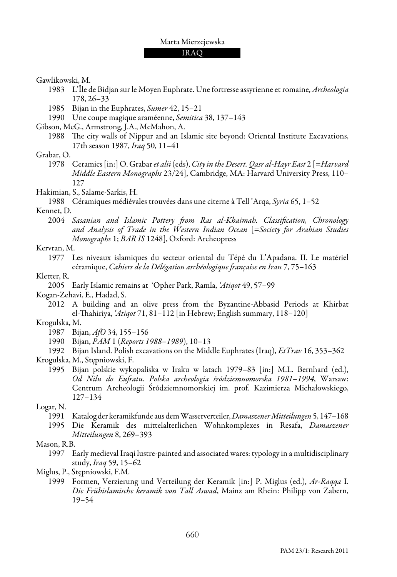Gawlikowski, M.

1983 L'Île de Bidjan sur le Moyen Euphrate. Une fortresse assyrienne et romaine, *Archeologia* 178, 26–33

- 1985 Bijan in the Euphrates, *Sumer* 42, 15–21
- 1990 Une coupe magique araméenne, *Semitica* 38, 137–143

Gibson, McG., Armstrong, J.A., McMahon, A.

1988 The city walls of Nippur and an Islamic site beyond: Oriental Institute Excavations, 17th season 1987, *Iraq* 50, 11–41

### Grabar, O.

1978 Ceramics [in:] O. Grabar *et alii* (eds), *City in the Desert. Qasr al-Hayr East* 2 [=*Harvard Middle Eastern Monographs* 23/24], Cambridge, MA: Harvard University Press, 110– 127

### Hakimian, S., Salame-Sarkis, H.

1988 Céramiques médiévales trouvées dans une citerne à Tell 'Arqa, *Syria* 65, 1–52

### Kennet, D.

2004 *Sasanian and Islamic Pottery from Ras al-Khaimah. Classification, Chronology and Analysis of Trade in the Western Indian Ocean* [=*Society for Arabian Studies Monographs* 1; *BAR IS* 1248], Oxford: Archeopress

### Kervran, M.

### Kletter, R.

2005 Early Islamic remains at 'Opher Park, Ramla, *'Atiqot* 49, 57–99

Kogan-Zehavi, E., Hadad, S.

2012 A building and an olive press from the Byzantine-Abbasid Periods at Khirbat el-Thahiriya, *'Atiqot* 71, 81–112 [in Hebrew; English summary, 118–120]

### Krogulska, M.

- 1987 Bijan, *AfO* 34, 155–156
- 1990 Bijan, *PAM* 1 (*Reports 1988–1989*), 10–13

1992 Bijan Island. Polish excavations on the Middle Euphrates (Iraq), *EtTrav* 16, 353–362 Krogulska, M., Stępniowski, F.

1995 Bijan polskie wykopaliska w Iraku w latach 1979–83 [in:] M.L. Bernhard (ed.), *Od Nilu do Eufratu. Polska archeologia śródziemnomorska 1981–1994*, Warsaw: Centrum Archeologii Śródziemnomorskiej im. prof. Kazimierza Michałowskiego, 127–134

Logar, N.

- 1991 Katalog der keramikfunde aus dem Wasserverteiler, *Damaszener Mitteilungen* 5, 147–168
- 1995 Die Keramik des mittelalterlichen Wohnkomplexes in Resafa, *Damaszener Mitteilungen* 8, 269–393

### Mason, R.B.

1997 Early medieval Iraqi lustre-painted and associated wares: typology in a multidisciplinary study, *Iraq* 59, 15–62

1999 Formen, Verzierung und Verteilung der Keramik [in:] P. Miglus (ed.), *Ar-Raqqa* I. *Die Frühislamische keramik von Tall Aswad*, Mainz am Rhein: Philipp von Zabern, 19–54

<sup>1977</sup> Les niveaux islamiques du secteur oriental du Tépé du L'Apadana. II. Le matériel céramique, *Cahiers de la Délégation archéologique française en Iran* 7, 75–163

Miglus, P., Stępniowski, F.M.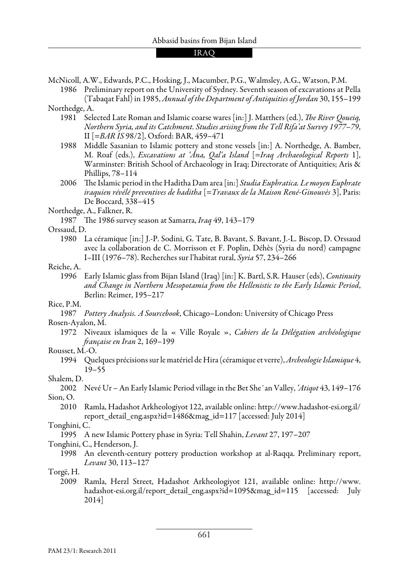McNicoll, A.W., Edwards, P.C., Hosking, J., Macumber, P.G., Walmsley, A.G., Watson, P.M.

- 1986 Preliminary report on the University of Sydney. Seventh season of excavations at Pella (Tabaqat Fahl) in 1985, *Annual of the Department of Antiquities of Jordan* 30, 155–199 Northedge, A.
	- 1981 Selected Late Roman and Islamic coarse wares [in:] J. Matthers (ed.), *The River Qoueiq, Northern Syria, and its Catchment. Studies arising from the Tell Rifa'at Survey 1977–79*, II [=*BAR IS* 98/2], Oxford: BAR, 459–471
	- 1988 Middle Sasanian to Islamic pottery and stone vessels [in:] A. Northedge, A. Bamber, M. Roaf (eds.), *Excavations at 'Āna, Qal'a Island* [=*Iraq Archaeological Reports* 1], Warminster: British School of Archaeology in Iraq; Directorate of Antiquities; Aris & Phillips, 78–114
	- 2006 The Islamic period in the Haditha Dam area [in:] *Studia Euphratica. Le moyen Euphrate iraquien révélé preventives de haditha* [=*Travaux de la Maison René-Ginouvès* 3], Paris: De Boccard, 338–415

Northedge, A., Falkner, R.

1987 The 1986 survey season at Samarra, *Iraq* 49, 143–179

#### Orssaud, D.

1980 La céramique [in:] J.-P. Sodini, G. Tate, B. Bavant, S. Bavant, J.-L. Biscop, D. Orssaud avec la collaboration de C. Morrisson et F. Poplin, Déhès (Syria du nord) campagne I–III (1976–78). Recherches sur l'habitat rural, *Syria* 57, 234–266

#### Reiche, A.

1996 Early Islamic glass from Bijan Island (Iraq) [in:] K. Bartl, S.R. Hauser (eds), *Continuity and Change in Northern Mesopotamia from the Hellenistic to the Early Islamic Period*, Berlin: Reimer, 195–217

#### Rice, P.M.

1987 *Pottery Analysis. A Sourcebook*, Chicago–London: University of Chicago Press

#### Rosen-Ayalon, M.

1972 Niveaux islamiques de la « Ville Royale », *Cahiers de la Délégation archéologique française en Iran* 2, 169–199

#### Rousset, M.-O.

1994 Quelques précisions sur le matériel de Hira (céramique et verre), *Archeologie Islamique* 4, 19–55

#### Shalem, D.

- 2002 Nevé Ur An Early Islamic Period village in the Bet She᾽an Valley, *'Atiqot* 43, 149–176 Sion, O.
	- 2010 Ramla, Hadashot Arkheologiyot 122, available online: http://www.hadashot-esi.org.il/ report\_detail\_eng.aspx?id=1486&mag\_id=117 [accessed: July 2014]

#### Tonghini, C.

1995 A new Islamic Pottery phase in Syria: Tell Shahin, *Levant* 27, 197–207

#### Tonghini, C., Henderson, J.

1998 An eleventh-century pottery production workshop at al-Raqqa. Preliminary report, *Levant* 30, 113–127

#### Torgë, H.

2009 Ramla, Herzl Street, Hadashot Arkheologiyot 121, available online: http://www. hadashot-esi.org.il/report\_detail\_eng.aspx?id=1095&mag\_id=115 [accessed: July 2014]